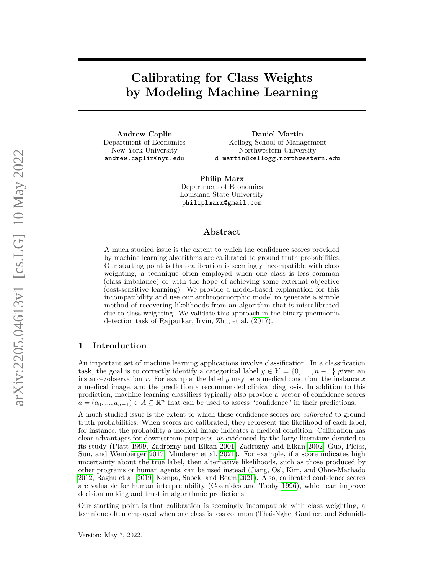**Calibrating for Class Weights by Modeling Machine Learning**

**Andrew Caplin** Department of Economics New York University andrew.caplin@nyu.edu

**Daniel Martin** Kellogg School of Management Northwestern University d-martin@kellogg.northwestern.edu

**Philip Marx** Department of Economics Louisiana State University philiplmarx@gmail.com

### **Abstract**

A much studied issue is the extent to which the confidence scores provided by machine learning algorithms are calibrated to ground truth probabilities. Our starting point is that calibration is seemingly incompatible with class weighting, a technique often employed when one class is less common (class imbalance) or with the hope of achieving some external objective (cost-sensitive learning). We provide a model-based explanation for this incompatibility and use our anthropomorphic model to generate a simple method of recovering likelihoods from an algorithm that is miscalibrated due to class weighting. We validate this approach in the binary pneumonia detection task of Rajpurkar, Irvin, Zhu, et al. [\(2017\)](#page-8-0).

# **1 Introduction**

An important set of machine learning applications involve classification. In a classification task, the goal is to correctly identify a categorical label  $y \in Y = \{0, \ldots, n-1\}$  given an instance/observation *x*. For example, the label *y* may be a medical condition, the instance *x* a medical image, and the prediction a recommended clinical diagnosis. In addition to this prediction, machine learning classifiers typically also provide a vector of confidence scores  $a = (a_0, ..., a_{n-1}) \in A \subseteq \mathbb{R}^n$  that can be used to assess "confidence" in their predictions.

A much studied issue is the extent to which these confidence scores are *calibrated* to ground truth probabilities. When scores are calibrated, they represent the likelihood of each label, for instance, the probability a medical image indicates a medical condition. Calibration has clear advantages for downstream purposes, as evidenced by the large literature devoted to its study (Platt [1999,](#page-8-1) Zadrozny and Elkan [2001,](#page-8-2) Zadrozny and Elkan [2002,](#page-8-3) Guo, Pleiss, Sun, and Weinberger [2017,](#page-8-4) Minderer et al. [2021\)](#page-8-5). For example, if a score indicates high uncertainty about the true label, then alternative likelihoods, such as those produced by other programs or human agents, can be used instead (Jiang, Osl, Kim, and Ohno-Machado [2012,](#page-8-6) Raghu et al. [2019,](#page-8-7) Kompa, Snoek, and Beam [2021\)](#page-8-8). Also, calibrated confidence scores are valuable for human interpretability (Cosmides and Tooby [1996\)](#page-7-0), which can improve decision making and trust in algorithmic predictions.

Our starting point is that calibration is seemingly incompatible with class weighting, a technique often employed when one class is less common (Thai-Nghe, Gantner, and Schmidt-

Version: May 7, 2022.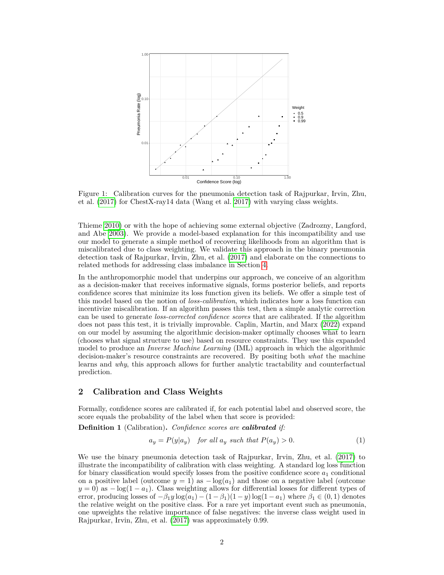<span id="page-1-0"></span>

Figure 1: Calibration curves for the pneumonia detection task of Rajpurkar, Irvin, Zhu, et al. [\(2017\)](#page-8-0) for ChestX-ray14 data (Wang et al. [2017\)](#page-8-9) with varying class weights.

Thieme [2010\)](#page-8-10) or with the hope of achieving some external objective (Zadrozny, Langford, and Abe [2003\)](#page-8-11). We provide a model-based explanation for this incompatibility and use our model to generate a simple method of recovering likelihoods from an algorithm that is miscalibrated due to class weighting. We validate this approach in the binary pneumonia detection task of Rajpurkar, Irvin, Zhu, et al. [\(2017\)](#page-8-0) and elaborate on the connections to related methods for addressing class imbalance in Section [4.](#page-6-0)

In the anthropomorphic model that underpins our approach, we conceive of an algorithm as a decision-maker that receives informative signals, forms posterior beliefs, and reports confidence scores that minimize its loss function given its beliefs. We offer a simple test of this model based on the notion of *loss-calibration*, which indicates how a loss function can incentivize miscalibration. If an algorithm passes this test, then a simple analytic correction can be used to generate *loss-corrected confidence scores* that are calibrated. If the algorithm does not pass this test, it is trivially improvable. Caplin, Martin, and Marx [\(2022\)](#page-7-1) expand on our model by assuming the algorithmic decision-maker optimally chooses what to learn (chooses what signal structure to use) based on resource constraints. They use this expanded model to produce an *Inverse Machine Learning* (IML) approach in which the algorithmic decision-maker's resource constraints are recovered. By positing both *what* the machine learns and *why*, this approach allows for further analytic tractability and counterfactual prediction.

## **2 Calibration and Class Weights**

Formally, confidence scores are calibrated if, for each potential label and observed score, the score equals the probability of the label when that score is provided:

<span id="page-1-1"></span>**Definition 1** (Calibration)**.** *Confidence scores are calibrated if:*

$$
a_y = P(y|a_y) \quad \text{for all } a_y \text{ such that } P(a_y) > 0. \tag{1}
$$

We use the binary pneumonia detection task of Rajpurkar, Irvin, Zhu, et al. [\(2017\)](#page-8-0) to illustrate the incompatibility of calibration with class weighting. A standard log loss function for binary classification would specify losses from the positive confidence score *a*<sup>1</sup> conditional on a positive label (outcome  $y = 1$ ) as  $-\log(a_1)$  and those on a negative label (outcome  $y = 0$ ) as  $-\log(1 - a_1)$ . Class weighting allows for differential losses for different types of error, producing losses of  $-\beta_1 y \log(a_1) - (1 - \beta_1)(1 - y) \log(1 - a_1)$  where  $\beta_1 \in (0, 1)$  denotes the relative weight on the positive class. For a rare yet important event such as pneumonia, one upweights the relative importance of false negatives: the inverse class weight used in Rajpurkar, Irvin, Zhu, et al. [\(2017\)](#page-8-0) was approximately 0.99.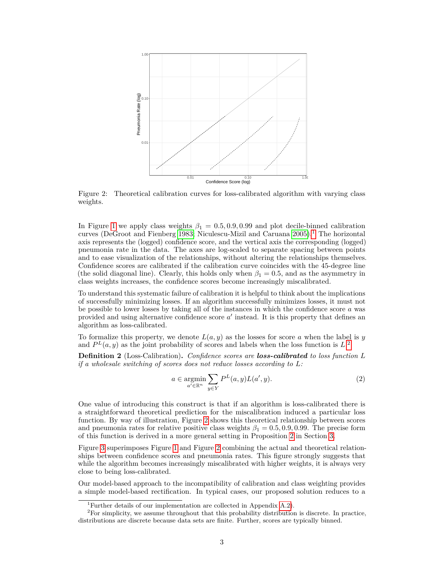<span id="page-2-2"></span>

Figure 2: Theoretical calibration curves for loss-calibrated algorithm with varying class weights.

In Figure [1](#page-1-0) we apply class weights  $\beta_1 = 0.5, 0.9, 0.99$  and plot decile-binned calibration curves (DeGroot and Fienberg [1983;](#page-7-2) Niculescu-Mizil and Caruana  $2005$ ).<sup>[1](#page-2-0)</sup> The horizontal axis represents the (logged) confidence score, and the vertical axis the corresponding (logged) pneumonia rate in the data. The axes are log-scaled to separate spacing between points and to ease visualization of the relationships, without altering the relationships themselves. Confidence scores are calibrated if the calibration curve coincides with the 45-degree line (the solid diagonal line). Clearly, this holds only when  $\beta_1 = 0.5$ , and as the asymmetry in class weights increases, the confidence scores become increasingly miscalibrated.

To understand this systematic failure of calibration it is helpful to think about the implications of successfully minimizing losses. If an algorithm successfully minimizes losses, it must not be possible to lower losses by taking all of the instances in which the confidence score *a* was provided and using alternative confidence score  $a'$  instead. It is this property that defines an algorithm as loss-calibrated.

To formalize this property, we denote  $L(a, y)$  as the losses for score *a* when the label is *y* and  $P<sup>L</sup>(a, y)$  as the joint probability of scores and labels when the loss function is  $L<sup>2</sup>$  $L<sup>2</sup>$  $L<sup>2</sup>$ .

<span id="page-2-4"></span>**Definition 2** (Loss-Calibration)**.** *Confidence scores are loss-calibrated to loss function L if a wholesale switching of scores does not reduce losses according to L:*

<span id="page-2-3"></span>
$$
a \in \underset{a' \in \mathbb{R}^n}{\operatorname{argmin}} \sum_{y \in Y} P^L(a, y) L(a', y). \tag{2}
$$

One value of introducing this construct is that if an algorithm is loss-calibrated there is a straightforward theoretical prediction for the miscalibration induced a particular loss function. By way of illustration, Figure [2](#page-2-2) shows this theoretical relationship between scores and pneumonia rates for relative positive class weights  $\beta_1 = 0.5, 0.9, 0.99$ . The precise form of this function is derived in a more general setting in Proposition [2](#page-5-0) in Section [3.](#page-3-0)

Figure [3](#page-3-1) superimposes Figure [1](#page-1-0) and Figure [2](#page-2-2) combining the actual and theoretical relationships between confidence scores and pneumonia rates. This figure strongly suggests that while the algorithm becomes increasingly miscalibrated with higher weights, it is always very close to being loss-calibrated.

Our model-based approach to the incompatibility of calibration and class weighting provides a simple model-based rectification. In typical cases, our proposed solution reduces to a

<span id="page-2-1"></span><span id="page-2-0"></span><sup>&</sup>lt;sup>1</sup>Further details of our implementation are collected in Appendix  $A.2$ ).

 ${}^{2}$ For simplicity, we assume throughout that this probability distribution is discrete. In practice, distributions are discrete because data sets are finite. Further, scores are typically binned.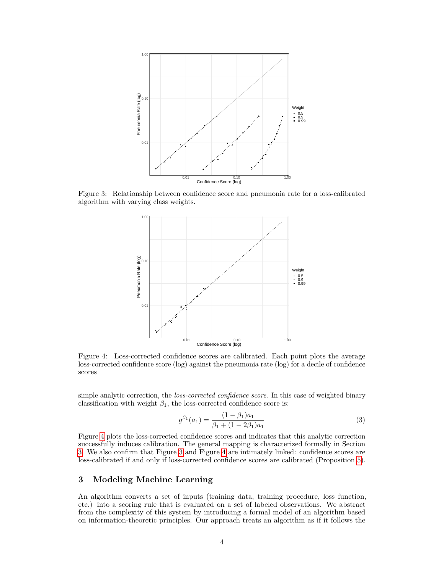<span id="page-3-1"></span>

<span id="page-3-2"></span>Figure 3: Relationship between confidence score and pneumonia rate for a loss-calibrated algorithm with varying class weights.



Figure 4: Loss-corrected confidence scores are calibrated. Each point plots the average loss-corrected confidence score (log) against the pneumonia rate (log) for a decile of confidence scores

simple analytic correction, the *loss-corrected confidence score*. In this case of weighted binary classification with weight  $\beta_1,$  the loss-corrected confidence score is:

<span id="page-3-3"></span>
$$
g^{\beta_1}(a_1) = \frac{(1 - \beta_1)a_1}{\beta_1 + (1 - 2\beta_1)a_1} \tag{3}
$$

Figure [4](#page-3-2) plots the loss-corrected confidence scores and indicates that this analytic correction successfully induces calibration. The general mapping is characterized formally in Section [3.](#page-3-0) We also confirm that Figure [3](#page-3-1) and Figure [4](#page-3-2) are intimately linked: confidence scores are loss-calibrated if and only if loss-corrected confidence scores are calibrated (Proposition [5\)](#page-6-1).

# <span id="page-3-0"></span>**3 Modeling Machine Learning**

An algorithm converts a set of inputs (training data, training procedure, loss function, etc.) into a scoring rule that is evaluated on a set of labeled observations. We abstract from the complexity of this system by introducing a formal model of an algorithm based on information-theoretic principles. Our approach treats an algorithm as if it follows the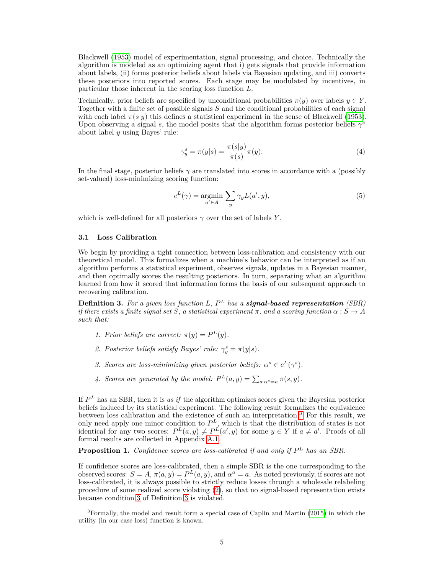Blackwell [\(1953\)](#page-7-3) model of experimentation, signal processing, and choice. Technically the algorithm is modeled as an optimizing agent that i) gets signals that provide information about labels, (ii) forms posterior beliefs about labels via Bayesian updating, and iii) converts these posteriors into reported scores. Each stage may be modulated by incentives, in particular those inherent in the scoring loss function *L*.

Technically, prior beliefs are specified by unconditional probabilities  $\pi(y)$  over labels  $y \in Y$ . Together with a finite set of possible signals *S* and the conditional probabilities of each signal with each label  $\pi(s|y)$  this defines a statistical experiment in the sense of Blackwell [\(1953\)](#page-7-3). Upon observing a signal *s*, the model posits that the algorithm forms posterior beliefs  $\gamma^s$ about label *y* using Bayes' rule:

$$
\gamma_y^s = \pi(y|s) = \frac{\pi(s|y)}{\pi(s)}\pi(y). \tag{4}
$$

In the final stage, posterior beliefs *γ* are translated into scores in accordance with a (possibly set-valued) loss-minimizing scoring function:

<span id="page-4-3"></span>
$$
c^{L}(\gamma) = \underset{a' \in A}{\operatorname{argmin}} \sum_{y} \gamma_{y} L(a', y), \qquad (5)
$$

which is well-defined for all posteriors  $\gamma$  over the set of labels *Y*.

#### **3.1 Loss Calibration**

We begin by providing a tight connection between loss-calibration and consistency with our theoretical model. This formalizes when a machine's behavior can be interpreted as if an algorithm performs a statistical experiment, observes signals, updates in a Bayesian manner, and then optimally scores the resulting posteriors. In turn, separating what an algorithm learned from how it scored that information forms the basis of our subsequent approach to recovering calibration.

<span id="page-4-2"></span>**Definition 3.** *For a given loss function L, P <sup>L</sup> has a signal-based representation (SBR) if there exists a finite signal set*  $\dot{S}$ *, a statistical experiment*  $\pi$ *, and a scoring function*  $\alpha : \dot{S} \to \dot{A}$ *such that:*

- *1. Prior beliefs are correct:*  $\pi(y) = P^L(y)$ .
- 2. Posterior beliefs satisfy Bayes' rule:  $\gamma_y^s = \pi(y|s)$ .
- <span id="page-4-1"></span>*3. Scores are loss-minimizing given posterior beliefs:*  $\alpha^s \in c^L(\gamma^s)$ *.*
- 4. *Scores are generated by the model:*  $P^{L}(a, y) = \sum_{s:\alpha^{s}=a} \pi(s, y)$ .

If *P <sup>L</sup>* has an SBR, then it is *as if* the algorithm optimizes scores given the Bayesian posterior beliefs induced by its statistical experiment. The following result formalizes the equivalence between loss calibration and the existence of such an interpretation.[3](#page-4-0) For this result, we only need apply one minor condition to *P <sup>L</sup>*, which is that the distribution of states is not identical for any two scores:  $P^{L}(a, y) \neq P^{L}(a', y)$  for some  $y \in Y$  if  $a \neq a'$ . Proofs of all formal results are collected in Appendix [A.1.](#page-9-0)

<span id="page-4-4"></span>**Proposition 1.** *Confidence scores are loss-calibrated if and only if P <sup>L</sup> has an SBR.*

If confidence scores are loss-calibrated, then a simple SBR is the one corresponding to the observed scores:  $S = A$ ,  $\pi(a, y) = P^L(a, y)$ , and  $\alpha^a = a$ . As noted previously, if scores are not loss-calibrated, it is always possible to strictly reduce losses through a wholesale relabeling procedure of some realized score violating [\(2\)](#page-2-3), so that no signal-based representation exists because condition [3](#page-4-1) of Definition [3](#page-4-2) is violated.

<span id="page-4-0"></span><sup>3</sup>Formally, the model and result form a special case of Caplin and Martin [\(2015\)](#page-7-4) in which the utility (in our case loss) function is known.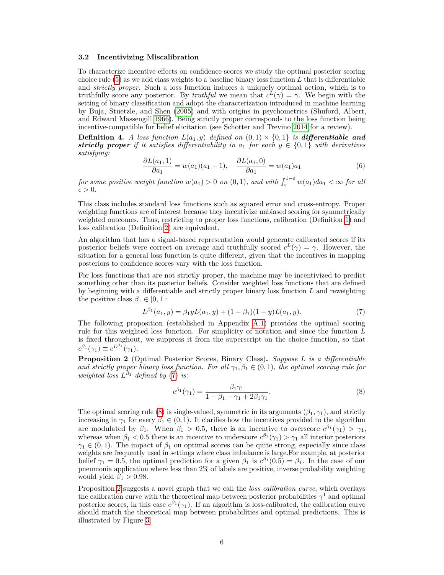#### **3.2 Incentivizing Miscalibration**

To characterize incentive effects on confidence scores we study the optimal posterior scoring choice rule [\(5\)](#page-4-3) as we add class weights to a baseline binary loss function *L* that is differentiable and *strictly proper*. Such a loss function induces a uniquely optimal action, which is to truthfully score any posterior. By *truthful* we mean that  $c^L(\gamma) = \gamma$ . We begin with the setting of binary classification and adopt the characterization introduced in machine learning by Buja, Stuetzle, and Shen [\(2005\)](#page-7-5) and with origins in psychometrics (Shuford, Albert, and Edward Massengill [1966\)](#page-8-13). Being strictly proper corresponds to the loss function being incentive-compatible for belief elicitation (see Schotter and Trevino [2014](#page-8-14) for a review).

**Definition 4.** *A loss function*  $L(a_1, y)$  *defined on*  $(0, 1) \times \{0, 1\}$  *is differentiable and strictly proper if it satisfies differentiability in*  $a_1$  *for each*  $y \in \{0,1\}$  *with derivatives satisfying:*

<span id="page-5-3"></span>
$$
\frac{\partial L(a_1, 1)}{\partial a_1} = w(a_1)(a_1 - 1), \quad \frac{\partial L(a_1, 0)}{\partial a_1} = w(a_1)a_1 \tag{6}
$$

*for some positive weight function*  $w(a_1) > 0$  *on*  $(0,1)$ *, and with*  $\int_{\varepsilon}^{1-\varepsilon} w(a_1)da_1 < \infty$  *for all*  $\epsilon > 0$ .

This class includes standard loss functions such as squared error and cross-entropy. Proper weighting functions are of interest because they incentivize unbiased scoring for symmetrically weighted outcomes. Thus, restricting to proper loss functions, calibration (Definition [1\)](#page-1-1) and loss calibration (Definition [2\)](#page-2-4) are equivalent.

An algorithm that has a signal-based representation would generate calibrated scores if its posterior beliefs were correct on average and truthfully scored  $c^L(\gamma) = \gamma$ . However, the situation for a general loss function is quite different, given that the incentives in mapping posteriors to confidence scores vary with the loss function.

For loss functions that are not strictly proper, the machine may be incentivized to predict something other than its posterior beliefs. Consider weighted loss functions that are defined by beginning with a differentiable and strictly proper binary loss function *L* and reweighting the positive class  $\beta_1 \in [0, 1]$ :

<span id="page-5-1"></span>
$$
L^{\beta_1}(a_1, y) = \beta_1 y L(a_1, y) + (1 - \beta_1)(1 - y) L(a_1, y). \tag{7}
$$

The following proposition (established in Appendix [A.1\)](#page-9-0) provides the optimal scoring rule for this weighted loss function. For simplicity of notation and since the function *L* is fixed throughout, we suppress it from the superscript on the choice function, so that  $c^{\beta_1}(\gamma_1) \equiv c^{L^{\beta_1}}(\gamma_1).$ 

<span id="page-5-0"></span>**Proposition 2** (Optimal Posterior Scores, Binary Class)**.** *Suppose L is a differentiable and strictly proper binary loss function. For all*  $\gamma_1, \beta_1 \in (0,1)$ *, the optimal scoring rule for weighted loss*  $L^{\beta_1}$  *defined by* [\(7\)](#page-5-1) *is:* 

<span id="page-5-2"></span>
$$
c^{\beta_1}(\gamma_1) = \frac{\beta_1 \gamma_1}{1 - \beta_1 - \gamma_1 + 2\beta_1 \gamma_1}.
$$
 (8)

The optimal scoring rule [\(8\)](#page-5-2) is single-valued, symmetric in its arguments  $(\beta_1, \gamma_1)$ , and strictly increasing in  $\gamma_1$  for every  $\beta_1 \in (0,1)$ . It clarifies how the incentives provided to the algorithm are modulated by  $\beta_1$ . When  $\beta_1 > 0.5$ , there is an incentive to overscore  $c^{\beta_1}(\gamma_1) > \gamma_1$ , whereas when  $\beta_1$  < 0.5 there is an incentive to underscore  $c^{\beta_1}(\gamma_1) > \gamma_1$  all interior posteriors  $\gamma_1 \in (0,1)$ . The impact of  $\beta_1$  on optimal scores can be quite strong, especially since class weights are frequently used in settings where class imbalance is large.For example, at posterior belief  $\gamma_1 = 0.5$ , the optimal prediction for a given  $\beta_1$  is  $c^{\beta_1}(0.5) = \beta_1$ . In the case of our pneumonia application where less than 2% of labels are positive, inverse probability weighting would yield  $\beta_1 > 0.98$ .

Proposition [2](#page-5-0) suggests a novel graph that we call the *loss calibration curve*, which overlays the calibration curve with the theoretical map between posterior probabilities  $\gamma^1$  and optimal posterior scores, in this case  $c^{\beta_1}(\gamma_1)$ . If an algorithm is loss-calibrated, the calibration curve should match the theoretical map between probabilities and optimal predictions. This is illustrated by Figure [3.](#page-3-1)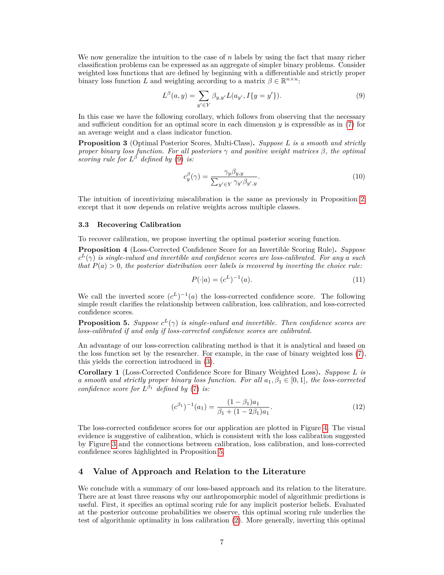We now generalize the intuition to the case of *n* labels by using the fact that many richer classification problems can be expressed as an aggregate of simpler binary problems. Consider weighted loss functions that are defined by beginning with a differentiable and strictly proper binary loss function *L* and weighting according to a matrix  $\beta \in \mathbb{R}^{n \times n}$ :

<span id="page-6-2"></span>
$$
L^{\beta}(a, y) = \sum_{y' \in Y} \beta_{y, y'} L(a_{y'}, I\{y = y'\}).
$$
\n(9)

In this case we have the following corollary, which follows from observing that the necessary and sufficient condition for an optimal score in each dimension  $y$  is expressible as in [\(7\)](#page-5-1) for an average weight and a class indicator function.

<span id="page-6-4"></span>**Proposition 3** (Optimal Posterior Scores, Multi-Class)**.** *Suppose L is a smooth and strictly proper binary loss function. For all posteriors γ and positive weight matrices β, the optimal scoring rule for*  $L^{\beta}$  *defined by* [\(9\)](#page-6-2) *is:* 

$$
c_y^{\beta}(\gamma) = \frac{\gamma_y \beta_{y,y}}{\sum_{y' \in Y} \gamma_{y'} \beta_{y',y}}.
$$
\n(10)

The intuition of incentivizing miscalibration is the same as previously in Proposition [2,](#page-5-0) except that it now depends on relative weights across multiple classes.

#### **3.3 Recovering Calibration**

To recover calibration, we propose inverting the optimal posterior scoring function.

<span id="page-6-3"></span>**Proposition 4** (Loss-Corrected Confidence Score for an Invertible Scoring Rule)**.** *Suppose*  $c^L(\gamma)$  *is single-valued and invertible and confidence scores are loss-calibrated. For any a such that*  $P(a) > 0$ *, the posterior distribution over labels is recovered by inverting the choice rule:* 

<span id="page-6-5"></span>
$$
P(\cdot|a) = (c^L)^{-1}(a). \tag{11}
$$

We call the inverted score  $(c^L)^{-1}(a)$  the loss-corrected confidence score. The following simple result clarifies the relationship between calibration, loss calibration, and loss-corrected confidence scores.

<span id="page-6-1"></span>**Proposition 5.** *Suppose*  $c^L(\gamma)$  *is single-valued and invertible. Then confidence scores are loss-calibrated if and only if loss-corrected confidence scores are calibrated.*

An advantage of our loss-correction calibrating method is that it is analytical and based on the loss function set by the researcher. For example, in the case of binary weighted loss [\(7\)](#page-5-1), this yields the correction introduced in [\(3\)](#page-3-3).

**Corollary 1** (Loss-Corrected Confidence Score for Binary Weighted Loss)**.** *Suppose L is a smooth and strictly proper binary loss function. For all*  $a_1, \beta_1 \in [0,1]$ *, the loss-corrected confidence score for*  $L^{\beta_1}$  *defined by* [\(7\)](#page-5-1) *is:* 

$$
(c^{\beta_1})^{-1}(a_1) = \frac{(1 - \beta_1)a_1}{\beta_1 + (1 - 2\beta_1)a_1}.
$$
\n(12)

The loss-corrected confidence scores for our application are plotted in Figure [4.](#page-3-2) The visual evidence is suggestive of calibration, which is consistent with the loss calibration suggested by Figure [3](#page-3-1) and the connections between calibration, loss calibration, and loss-corrected confidence scores highlighted in Proposition [5.](#page-6-1)

## <span id="page-6-0"></span>**4 Value of Approach and Relation to the Literature**

We conclude with a summary of our loss-based approach and its relation to the literature. There are at least three reasons why our anthropomorphic model of algorithmic predictions is useful. First, it specifies an optimal scoring rule for any implicit posterior beliefs. Evaluated at the posterior outcome probabilities we observe, this optimal scoring rule underlies the test of algorithmic optimality in loss calibration [\(2\)](#page-2-3). More generally, inverting this optimal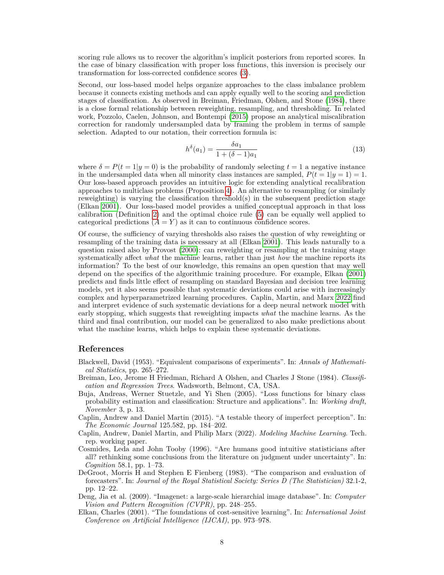scoring rule allows us to recover the algorithm's implicit posteriors from reported scores. In the case of binary classification with proper loss functions, this inversion is precisely our transformation for loss-corrected confidence scores [\(3\)](#page-3-3).

Second, our loss-based model helps organize approaches to the class imbalance problem because it connects existing methods and can apply equally well to the scoring and prediction stages of classification. As observed in Breiman, Friedman, Olshen, and Stone [\(1984\)](#page-7-6), there is a close formal relationship between reweighting, resampling, and thresholding. In related work, Pozzolo, Caelen, Johnson, and Bontempi [\(2015\)](#page-8-15) propose an analytical miscalibration correction for randomly undersampled data by framing the problem in terms of sample selection. Adapted to our notation, their correction formula is:

$$
h^{\delta}(a_1) = \frac{\delta a_1}{1 + (\delta - 1)a_1} \tag{13}
$$

where  $\delta = P(t = 1|y = 0)$  is the probability of randomly selecting  $t = 1$  a negative instance in the undersampled data when all minority class instances are sampled,  $P(t = 1|y = 1) = 1$ . Our loss-based approach provides an intuitive logic for extending analytical recalibration approaches to multiclass problems (Proposition [4\)](#page-6-3). An alternative to resampling (or similarly reweighting) is varying the classification threshold(s) in the subsequent prediction stage (Elkan [2001\)](#page-7-7). Our loss-based model provides a unified conceptual approach in that loss calibration (Definition [2\)](#page-2-4) and the optimal choice rule [\(5\)](#page-4-3) can be equally well applied to categorical predictions  $(A = Y)$  as it can to continuous confidence scores.

Of course, the sufficiency of varying thresholds also raises the question of why reweighting or resampling of the training data is necessary at all (Elkan [2001\)](#page-7-7). This leads naturally to a question raised also by Provost [\(2000\)](#page-8-16): can reweighting or resampling at the training stage systematically affect *what* the machine learns, rather than just *how* the machine reports its information? To the best of our knowledge, this remains an open question that may well depend on the specifics of the algorithmic training procedure. For example, Elkan [\(2001\)](#page-7-7) predicts and finds little effect of resampling on standard Bayesian and decision tree learning models, yet it also seems possible that systematic deviations could arise with increasingly complex and hyperparametrized learning procedures. Caplin, Martin, and Marx [2022](#page-7-1) find and interpret evidence of such systematic deviations for a deep neural network model with early stopping, which suggests that reweighting impacts *what* the machine learns. As the third and final contribution, our model can be generalized to also make predictions about what the machine learns, which helps to explain these systematic deviations.

# **References**

- <span id="page-7-3"></span>Blackwell, David (1953). "Equivalent comparisons of experiments". In: *Annals of Mathematical Statistics*, pp. 265–272.
- <span id="page-7-6"></span>Breiman, Leo, Jerome H Friedman, Richard A Olshen, and Charles J Stone (1984). *Classification and Regression Trees*. Wadsworth, Belmont, CA, USA.
- <span id="page-7-5"></span>Buja, Andreas, Werner Stuetzle, and Yi Shen (2005). "Loss functions for binary class probability estimation and classification: Structure and applications". In: *Working draft, November* 3, p. 13.
- <span id="page-7-4"></span>Caplin, Andrew and Daniel Martin (2015). "A testable theory of imperfect perception". In: *The Economic Journal* 125.582, pp. 184–202.
- <span id="page-7-1"></span>Caplin, Andrew, Daniel Martin, and Philip Marx (2022). *Modeling Machine Learning*. Tech. rep. working paper.
- <span id="page-7-0"></span>Cosmides, Leda and John Tooby (1996). "Are humans good intuitive statisticians after all? rethinking some conclusions from the literature on judgment under uncertainty". In: *Cognition* 58.1, pp. 1–73.
- <span id="page-7-2"></span>DeGroot, Morris H and Stephen E Fienberg (1983). "The comparison and evaluation of forecasters". In: *Journal of the Royal Statistical Society: Series D (The Statistician)* 32.1-2, pp. 12–22.
- <span id="page-7-8"></span>Deng, Jia et al. (2009). "Imagenet: a large-scale hierarchial image database". In: *Computer Vision and Pattern Recognition (CVPR)*, pp. 248–255.
- <span id="page-7-7"></span>Elkan, Charles (2001). "The foundations of cost-sensitive learning". In: *International Joint Conference on Artificial Intelligence (IJCAI)*, pp. 973–978.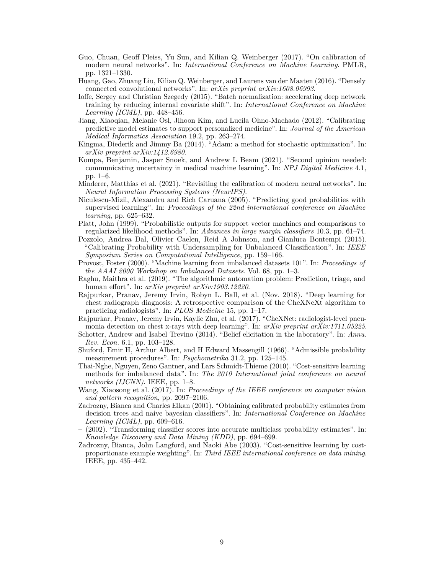- <span id="page-8-4"></span>Guo, Chuan, Geoff Pleiss, Yu Sun, and Kilian Q. Weinberger (2017). "On calibration of modern neural networks". In: *International Conference on Machine Learning*. PMLR, pp. 1321–1330.
- <span id="page-8-18"></span>Huang, Gao, Zhuang Liu, Kilian Q. Weinberger, and Laurens van der Maaten (2016). "Densely connected convolutional networks". In: *arXiv preprint arXiv:1608.06993*.
- <span id="page-8-20"></span>Ioffe, Sergey and Christian Szegedy (2015). "Batch normalization: accelerating deep network training by reducing internal covariate shift". In: *International Conference on Machine Learning (ICML)*, pp. 448–456.
- <span id="page-8-6"></span>Jiang, Xiaoqian, Melanie Osl, Jihoon Kim, and Lucila Ohno-Machado (2012). "Calibrating predictive model estimates to support personalized medicine". In: *Journal of the American Medical Informatics Association* 19.2, pp. 263–274.
- <span id="page-8-19"></span>Kingma, Diederik and Jimmy Ba (2014). "Adam: a method for stochastic optimization". In: *arXiv preprint arXiv:1412.6980*.
- <span id="page-8-8"></span>Kompa, Benjamin, Jasper Snoek, and Andrew L Beam (2021). "Second opinion needed: communicating uncertainty in medical machine learning". In: *NPJ Digital Medicine* 4.1, pp. 1–6.
- <span id="page-8-5"></span>Minderer, Matthias et al. (2021). "Revisiting the calibration of modern neural networks". In: *Neural Information Processing Systems (NeurIPS)*.
- <span id="page-8-12"></span>Niculescu-Mizil, Alexandru and Rich Caruana (2005). "Predicting good probabilities with supervised learning". In: *Proceedings of the 22nd international conference on Machine learning*, pp. 625–632.
- <span id="page-8-1"></span>Platt, John (1999). "Probabilistic outputs for support vector machines and comparisons to regularized likelihood methods". In: *Advances in large margin classifiers* 10.3, pp. 61–74.
- <span id="page-8-15"></span>Pozzolo, Andrea Dal, Olivier Caelen, Reid A Johnson, and Gianluca Bontempi (2015). "Calibrating Probability with Undersampling for Unbalanced Classification". In: *IEEE Symposium Series on Computational Intelligence*, pp. 159–166.
- <span id="page-8-16"></span>Provost, Foster (2000). "Machine learning from imbalanced datasets 101". In: *Proceedings of the AAAI 2000 Workshop on Imbalanced Datasets*. Vol. 68, pp. 1–3.
- <span id="page-8-7"></span>Raghu, Maithra et al. (2019). "The algorithmic automation problem: Prediction, triage, and human effort". In: *arXiv preprint arXiv:1903.12220*.
- <span id="page-8-17"></span>Rajpurkar, Pranav, Jeremy Irvin, Robyn L. Ball, et al. (Nov. 2018). "Deep learning for chest radiograph diagnosis: A retrospective comparison of the CheXNeXt algorithm to practicing radiologists". In: *PLOS Medicine* 15, pp. 1–17.
- <span id="page-8-0"></span>Rajpurkar, Pranav, Jeremy Irvin, Kaylie Zhu, et al. (2017). "CheXNet: radiologist-level pneumonia detection on chest x-rays with deep learning". In: *arXiv preprint arXiv:1711.05225*.
- <span id="page-8-14"></span>Schotter, Andrew and Isabel Trevino (2014). "Belief elicitation in the laboratory". In: *Annu. Rev. Econ.* 6.1, pp. 103–128.
- <span id="page-8-13"></span>Shuford, Emir H, Arthur Albert, and H Edward Massengill (1966). "Admissible probability measurement procedures". In: *Psychometrika* 31.2, pp. 125–145.
- <span id="page-8-10"></span>Thai-Nghe, Nguyen, Zeno Gantner, and Lars Schmidt-Thieme (2010). "Cost-sensitive learning methods for imbalanced data". In: *The 2010 International joint conference on neural networks (IJCNN)*. IEEE, pp. 1–8.
- <span id="page-8-9"></span>Wang, Xiaosong et al. (2017). In: *Proceedings of the IEEE conference on computer vision and pattern recognition*, pp. 2097–2106.
- <span id="page-8-2"></span>Zadrozny, Bianca and Charles Elkan (2001). "Obtaining calibrated probability estimates from decision trees and naive bayesian classifiers". In: *International Conference on Machine Learning (ICML)*, pp. 609–616.
- <span id="page-8-3"></span>– (2002). "Transforming classifier scores into accurate multiclass probability estimates". In: *Knowledge Discovery and Data Mining (KDD)*, pp. 694–699.
- <span id="page-8-11"></span>Zadrozny, Bianca, John Langford, and Naoki Abe (2003). "Cost-sensitive learning by costproportionate example weighting". In: *Third IEEE international conference on data mining*. IEEE, pp. 435–442.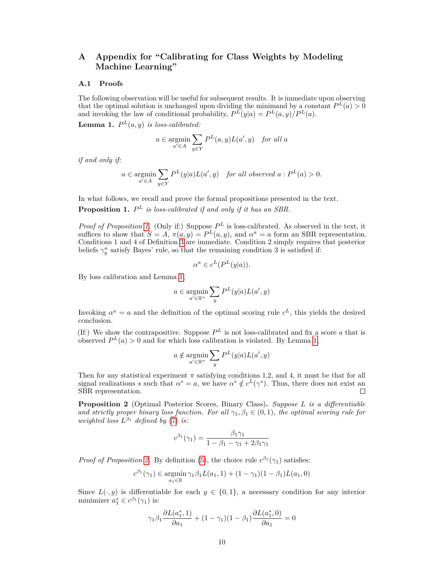# **A Appendix for "Calibrating for Class Weights by Modeling Machine Learning"**

#### <span id="page-9-0"></span>**A.1 Proofs**

The following observation will be useful for subsequent results. It is immediate upon observing that the optimal solution is unchanged upon dividing the minimand by a constant  $P<sup>L</sup>(a) > 0$ and invoking the law of conditional probability,  $P^{L}(y|a) = P^{L}(a, y)/P^{L}(a)$ .

<span id="page-9-1"></span>**Lemma 1.**  $P^{L}(a, y)$  *is loss-calibrated:* 

$$
a \in \operatorname*{argmin}_{a' \in A} \sum_{y \in Y} P^L(a, y) L(a', y) \quad \text{for all } a
$$

*if and only if:*

$$
a\in \underset{a'\in A}{\text{argmin}}\sum_{y\in Y}P^L(y|a)L(a',y) \quad \text{for all observed $a:P^L(a)>0$.}
$$

In what follows, we recall and prove the formal propositions presented in the text.

**Proposition 1.** *P <sup>L</sup> is loss-calibrated if and only if it has an SBR.*

*Proof of Proposition [1.](#page-4-4)* (Only if:) Suppose  $P^L$  is loss-calibrated. As observed in the text, it suffices to show that  $S = A$ ,  $\pi(a, y) = P^L(a, y)$ , and  $\alpha^a = a$  form an SBR representation. Conditions 1 and 4 of Definition [3](#page-4-2) are immediate. Condition 2 simply requires that posterior beliefs  $\gamma_y^a$  satisfy Bayes' rule, so that the remaining condition 3 is satisfied if:

$$
\alpha^a \in c^L(P^L(y|a)).
$$

By loss calibration and Lemma [1,](#page-9-1)

$$
a\in \mathop{\rm argmin}_{a'\in\mathbb{R}^n} \sum_{y} P^L(y|a) L(a',y)
$$

Invoking  $\alpha^a = a$  and the definition of the optimal scoring rule  $c^L$ , this yields the desired conclusion.

(If:) We show the contrapositive. Suppose  $P<sup>L</sup>$  is not loss-calibrated and fix a score *a* that is observed  $P^{L}(a) > 0$  and for which loss calibration is violated. By Lemma [1,](#page-9-1)

$$
a \notin \mathop{\rm argmin}_{a' \in \mathbb{R}^n} \sum_{y} P^L(y|a) L(a', y)
$$

Then for any statistical experiment  $\pi$  satisfying conditions 1,2, and 4, it must be that for all signal realizations *s* such that  $\alpha^s = a$ , we have  $\alpha^s \notin c^L(\gamma^s)$ . Thus, there does not exist an SBR representation.  $\Box$ 

**Proposition 2** (Optimal Posterior Scores, Binary Class)**.** *Suppose L is a differentiable and strictly proper binary loss function. For all*  $\gamma_1, \beta_1 \in (0,1)$ *, the optimal scoring rule for weighted loss*  $L^{\beta_1}$  *defined by* [\(7\)](#page-5-1) *is:* 

$$
c^{\beta_1}(\gamma_1) = \frac{\beta_1 \gamma_1}{1 - \beta_1 - \gamma_1 + 2\beta_1 \gamma_1}
$$

*Proof of Proposition [2.](#page-5-0)* By definition [\(5\)](#page-4-3), the choice rule  $c^{\beta_1}(\gamma_1)$  satisfies:

$$
c^{\beta_1}(\gamma_1) \in \operatorname*{argmin}_{a_1 \in \mathbb{R}} \gamma_1 \beta_1 L(a_1, 1) + (1 - \gamma_1)(1 - \beta_1)L(a_1, 0)
$$

Since  $L(\cdot, y)$  is differentiable for each  $y \in \{0, 1\}$ , a necessary condition for any interior minimizer  $a_1^* \in c^{\beta_1}(\gamma_1)$  is:

$$
\gamma_1 \beta_1 \frac{\partial L(a_1^*, 1)}{\partial a_1} + (1 - \gamma_1)(1 - \beta_1) \frac{\partial L(a_1^*, 0)}{\partial a_1} = 0
$$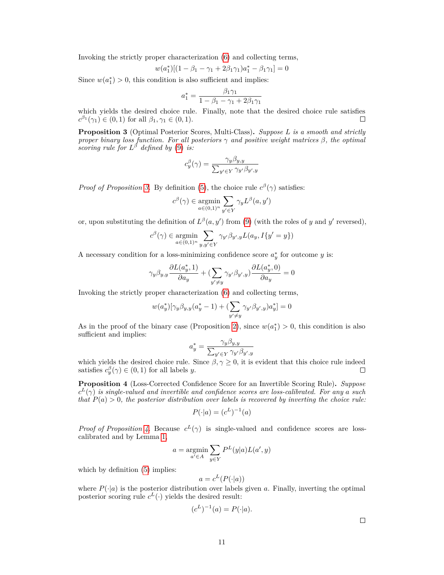Invoking the strictly proper characterization [\(6\)](#page-5-3) and collecting terms,

$$
w(a_1^*)[(1 - \beta_1 - \gamma_1 + 2\beta_1\gamma_1)a_1^* - \beta_1\gamma_1] = 0
$$

Since  $w(a_1^*) > 0$ , this condition is also sufficient and implies:

$$
a_1^* = \frac{\beta_1 \gamma_1}{1 - \beta_1 - \gamma_1 + 2\beta_1 \gamma_1}
$$

which yields the desired choice rule. Finally, note that the desired choice rule satisfies  $c^{\beta_1}(\gamma_1) \in (0,1)$  for all  $\beta_1, \gamma_1 \in (0,1)$ . П

**Proposition 3** (Optimal Posterior Scores, Multi-Class)**.** *Suppose L is a smooth and strictly proper binary loss function. For all posteriors γ and positive weight matrices β, the optimal scoring rule for*  $L^{\beta}$  *defined by* [\(9\)](#page-6-2) *is:* 

$$
c_y^{\beta}(\gamma) = \frac{\gamma_y \beta_{y,y}}{\sum_{y' \in Y} \gamma_{y'} \beta_{y',y}}
$$

*Proof of Proposition* [3.](#page-6-4) By definition [\(5\)](#page-4-3), the choice rule  $c^{\beta}(\gamma)$  satisfies:

$$
c^{\beta}(\gamma) \in \underset{a \in (0,1)^n}{\text{argmin}} \sum_{y' \in Y} \gamma_y L^{\beta}(a, y')
$$

or, upon substituting the definition of  $L^{\beta}(a, y')$  from [\(9\)](#page-6-2) (with the roles of *y* and *y'* reversed),

$$
c^{\beta}(\gamma) \in \underset{a \in (0,1)^n}{\operatorname{argmin}} \sum_{y, y' \in Y} \gamma_{y'} \beta_{y',y} L(a_y, I\{y' = y\})
$$

A necessary condition for a loss-minimizing confidence score  $a_y^*$  for outcome  $y$  is:

$$
\gamma_y\beta_{y,y}\frac{\partial L(a^*_y,1)}{\partial a_y}+(\sum_{y'\neq y}\gamma_{y'}\beta_{y',y})\frac{\partial L(a^*_y,0)}{\partial a_y}=0
$$

Invoking the strictly proper characterization [\(6\)](#page-5-3) and collecting terms,

$$
w(a^*_y)[\gamma_y\beta_{y,y}(a^*_y-1)+(\sum_{y'\neq y}\gamma_{y'}\beta_{y',y})a^*_y]=0
$$

As in the proof of the binary case (Proposition [2\)](#page-5-0), since  $w(a_1^*) > 0$ , this condition is also sufficient and implies:

$$
a_y^* = \frac{\gamma_y \beta_{y,y}}{\sum_{y' \in Y} \gamma_{y'} \beta_{y',y}}
$$

which yields the desired choice rule. Since  $\beta, \gamma \geq 0$ , it is evident that this choice rule indeed satisfies  $c_y^{\beta}(\gamma) \in (0, 1)$  for all labels *y*.  $\Box$ 

**Proposition 4** (Loss-Corrected Confidence Score for an Invertible Scoring Rule)**.** *Suppose*  $c^L(\gamma)$  *is single-valued and invertible and confidence scores are loss-calibrated. For any a such that*  $P(a) > 0$ *, the posterior distribution over labels is recovered by inverting the choice rule:* 

$$
P(\cdot|a) = (c^L)^{-1}(a)
$$

*Proof of Proposition [4.](#page-6-3)* Because  $c^L(\gamma)$  is single-valued and confidence scores are losscalibrated and by Lemma [1,](#page-9-1)

$$
a = \operatornamewithlimits{argmin}_{a' \in A} \sum_{y \in Y} P^L(y|a) L(a', y)
$$

which by definition  $(5)$  implies:

$$
a = c^L(P(\cdot|a))
$$

where  $P(\cdot|a)$  is the posterior distribution over labels given a. Finally, inverting the optimal posterior scoring rule  $c^L(\cdot)$  yields the desired result:

$$
(c^L)^{-1}(a) = P(\cdot|a).
$$

 $\Box$